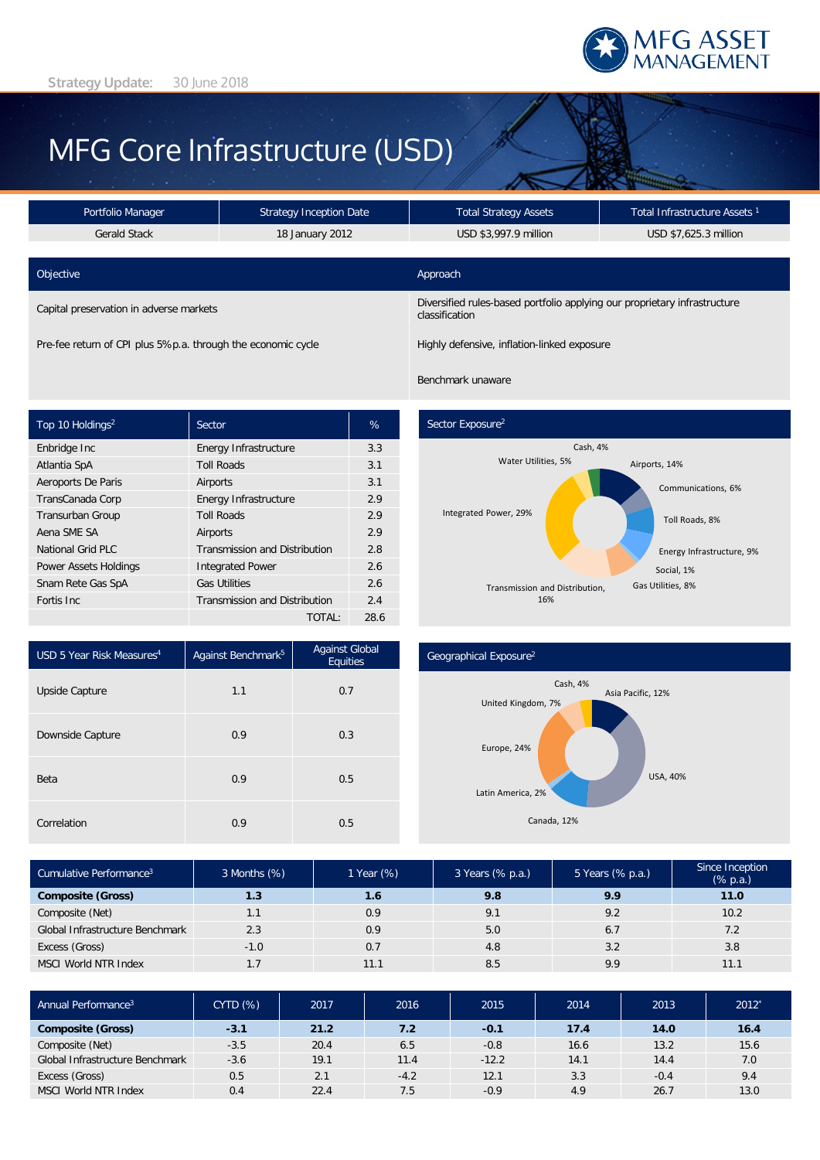

# MFG Core Infrastructure (USD)

| Portfolio Manager                                            | <b>Strategy Inception Date</b> | <b>Total Strategy Assets</b>                                                                | Total Infrastructure Assets <sup>1</sup> |  |  |
|--------------------------------------------------------------|--------------------------------|---------------------------------------------------------------------------------------------|------------------------------------------|--|--|
| Gerald Stack                                                 | 18 January 2012                |                                                                                             | USD \$7,625.3 million                    |  |  |
| Objective                                                    |                                | Approach                                                                                    |                                          |  |  |
| Capital preservation in adverse markets                      |                                | Diversified rules-based portfolio applying our proprietary infrastructure<br>classification |                                          |  |  |
| Pre-fee return of CPI plus 5%p.a. through the economic cycle |                                | Highly defensive, inflation-linked exposure                                                 |                                          |  |  |

Top 10 Holdings<sup>2</sup> Sector New York Sector New York Sector Enbridge Inc **Energy Infrastructure** 3.3 Atlantia SpA Toll Roads 3.1 Aeroports De Paris **Airports Airports** 3.1 TransCanada Corp **Energy Infrastructure** 2.9 Transurban Group Toll Roads 2.9 Aena SME SA **Airports** 2.9 National Grid PLC Transmission and Distribution 2.8 Power Assets Holdings Integrated Power 2.6 Snam Rete Gas SpA Gas Utilities 2.6 Fortis Inc **Transmission** and Distribution 2.4 TOTAL: 28.6

Benchmark unaware



| USD 5 Year Risk Measures <sup>4</sup> | Against Benchmark <sup>5</sup> | Against Global<br>Equities |  |
|---------------------------------------|--------------------------------|----------------------------|--|
| Upside Capture                        | 1.1                            | 0.7                        |  |
| Downside Capture                      | 0.9                            | 0.3                        |  |
| Beta                                  | 0.9                            | 0.5                        |  |
| Correlation                           | 0.9                            | 0.5                        |  |

#### Geographical Exposure2



| Cumulative Performance <sup>3</sup> | 3 Months (%) | 1 Year (%) | 3 Years (% p.a.) | 5 Years (% p.a.) | Since Inception<br>(% p.a.) |
|-------------------------------------|--------------|------------|------------------|------------------|-----------------------------|
| <b>Composite (Gross)</b>            | 1.3          | 1.6        | 9.8              | 9.9              | 11.0                        |
| Composite (Net)                     | 1.1          | 0.9        | 9.1              | 9.2              | 10.2                        |
| Global Infrastructure Benchmark     | 2.3          | 0.9        | 5.0              | 6.7              | 7.2                         |
| Excess (Gross)                      | $-1.0$       | 0.7        | 4.8              | 3.2              | 3.8                         |
| MSCI World NTR Index                | 1.7          | 11.1       | 8.5              | 9.9              | 11.1                        |

| Annual Performance <sup>3</sup> | <b>CYTD (%)</b> | 2017 | 2016   | 2015    | 2014 | 2013   | 2012 |
|---------------------------------|-----------------|------|--------|---------|------|--------|------|
| <b>Composite (Gross)</b>        | $-3.1$          | 21.2 | 7.2    | $-0.1$  | 17.4 | 14.0   | 16.4 |
| Composite (Net)                 | $-3.5$          | 20.4 | 6.5    | $-0.8$  | 16.6 | 13.2   | 15.6 |
| Global Infrastructure Benchmark | $-3.6$          | 19.1 | 11.4   | $-12.2$ | 14.1 | 14.4   | 7.0  |
| Excess (Gross)                  | 0.5             | 2.1  | $-4.2$ | 12.1    | 3.3  | $-0.4$ | 9.4  |
| <b>MSCI World NTR Index</b>     | 0.4             | 22.4 | 7.5    | $-0.9$  | 4.9  | 26.7   | 13.0 |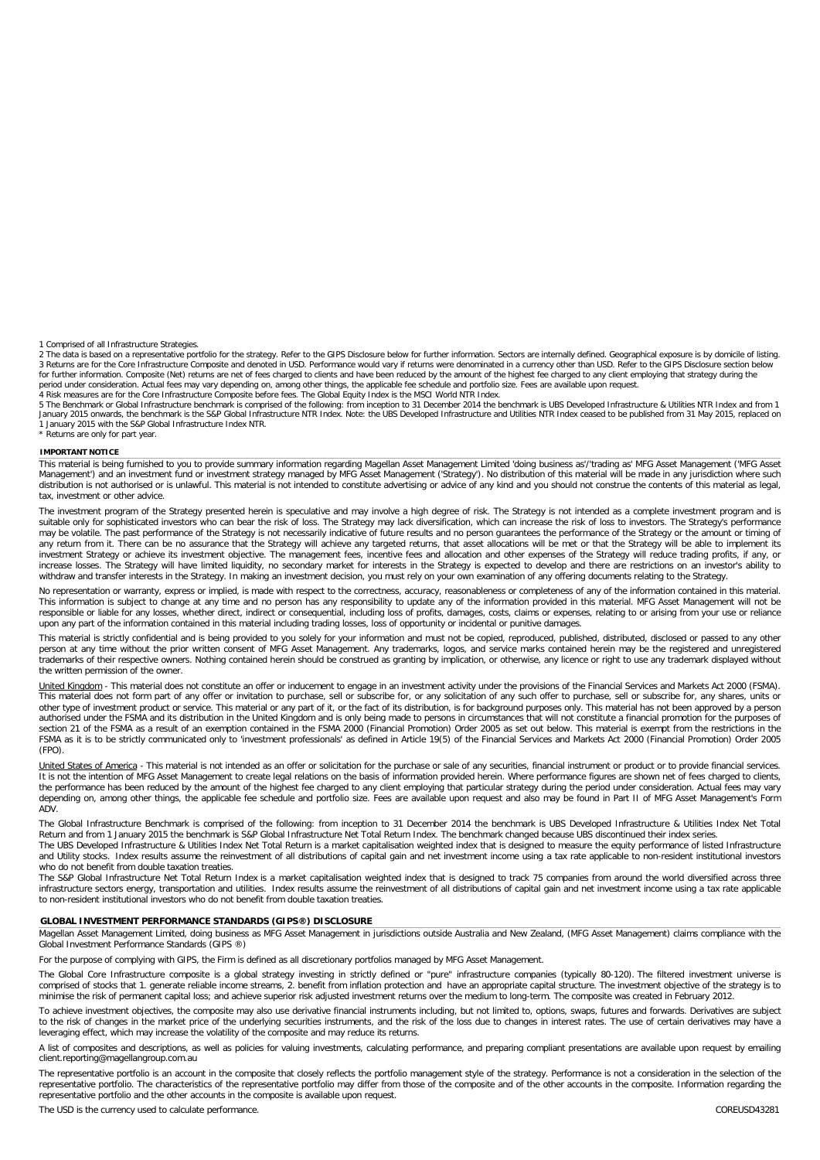1 Comprised of all Infrastructure Strategies.

2 The data is based on a representative portfolio for the strategy. Refer to the GIPS Disclosure below for further information. Sectors are internally defined. Geographical exposure is by domicile of listing.<br>3 Returns are

5 The Benchmark or Global Infrastructure benchmark is comprised of the following: from inception to 31 December 2014 the benchmark is UBS Developed Infrastructure & Utilities NTR Index and from 1<br>January 2015 onwards, the 1 January 2015 with the S&P Global Infrastructure Index NTR.

\* Returns are only for part year.

#### **IMPORTANT NOTICE**

This material is being furnished to you to provide summary information regarding Magellan Asset Management Limited 'doing business as'/'trading as' MFG Asset Management ('MFG Asset Management') and an investment fund or investment strategy managed by MFG Asset Management ('Strategy'). No distribution of this material will be made in any jurisdiction where such distribution is not authorised or is unlawful. This material is not intended to constitute advertising or advice of any kind and you should not construe the contents of this material as legal, tax, investment or other advice.

The investment program of the Strategy presented herein is speculative and may involve a high degree of risk. The Strategy is not intended as a complete investment program and is<br>suitable only for sophisticated investors w may be volatile. The past performance of the Strategy is not necessarily indicative of future results and no person guarantees the performance of the Strategy or the amount or timing of any return from it. There can be no assurance that the Strategy will achieve any targeted returns, that asset allocations will be met or that the Strategy will be able to implement its investment Strategy or achieve its investment objective. The management fees, incentive fees and allocation and other expenses of the Strategy will reduce trading profits, if any, or<br>increase losses. The Strategy will have withdraw and transfer interests in the Strategy. In making an investment decision, you must rely on your own examination of any offering documents relating to the Strategy.

No representation or warranty, express or implied, is made with respect to the correctness, accuracy, reasonableness or completeness of any of the information contained in this material. This information is subject to change at any time and no person has any responsibility to update any of the information provided in this material. MFG Asset Management will not be<br>responsible or liable for any losses, whet upon any part of the information contained in this material including trading losses, loss of opportunity or incidental or punitive damages.

This material is strictly confidential and is being provided to you solely for your information and must not be copied, reproduced, published, distributed, disclosed or passed to any other person at any time without the prior written consent of MFG Asset Management. Any trademarks, logos, and service marks contained herein may be the registered and unregistered trademarks of their respective owners. Nothing contained herein should be construed as granting by implication, or otherwise, any licence or right to use any trademark displayed without the written permission of the owner.

<u>United Kingdom</u> - This material does not constitute an offer or inducement to engage in an investment activity under the provisions of the Financial Services and Markets Act 2000 (FSMA).<br>This material does not form part o other type of investment product or service. This material or any part of it, or the fact of its distribution, is for background purposes only. This material has not been approved by a person authorised under the FSMA and its distribution in the United Kingdom and is only being made to persons in circumstances that will not constitute a financial promotion for the purposes of section 21 of the FSMA as a result of an exemption contained in the FSMA 2000 (Financial Promotion) Order 2005 as set out below. This material is exempt from the restrictions in the<br>FSMA as it is to be strictly communicate (FPO).

United States of America - This material is not intended as an offer or solicitation for the purchase or sale of any securities, financial instrument or product or to provide financial services. It is not the intention of MFG Asset Management to create legal relations on the basis of information provided herein. Where performance figures are shown net of fees charged to clients, the performance has been reduced by the amount of the highest fee charged to any client employing that particular strategy during the period under consideration. Actual fees may vary depending on, among other things, the applicable fee schedule and portfolio size. Fees are available upon request and also may be found in Part II of MFG Asset Management's Form ADV.

The Global Infrastructure Benchmark is comprised of the following: from inception to 31 December 2014 the benchmark is UBS Developed Infrastructure & Utilities Index Net Total Return and from 1 January 2015 the benchmark is S&P Global Infrastructure Net Total Return Index. The benchmark changed because UBS discontinued their index series.

The UBS Developed Infrastructure & Utilities Index Net Total Return is a market capitalisation weighted index that is designed to measure the equity performance of listed Infrastructure and Utility stocks. Index results assume the reinvestment of all distributions of capital gain and net investment income using a tax rate applicable to non-resident institutional investors who do not benefit from double taxation treaties.

The S&P Global Infrastructure Net Total Return Index is a market capitalisation weighted index that is designed to track 75 companies from around the world diversified across three infrastructure sectors energy, transportation and utilities. Index results assume the reinvestment of all distributions of capital gain and net investment income using a tax rate applicable to non-resident institutional investors who do not benefit from double taxation treaties.

#### **GLOBAL INVESTMENT PERFORMANCE STANDARDS (GIPS®) DISCLOSURE**

Magellan Asset Management Limited, doing business as MFG Asset Management in jurisdictions outside Australia and New Zealand, (MFG Asset Management) claims compliance with the Global Investment Performance Standards (GIPS ®)

For the purpose of complying with GIPS, the Firm is defined as all discretionary portfolios managed by MFG Asset Management.

The Global Core Infrastructure composite is a global strategy investing in strictly defined or "pure" infrastructure companies (typically 80-120). The filtered investment universe is comprised of stocks that 1. generate reliable income streams, 2. benefit from inflation protection and have an appropriate capital structure. The investment objective of the strategy is to minimise the risk of permanent capital loss; and achieve superior risk adjusted investment returns over the medium to long-term. The composite was created in February 2012.

To achieve investment objectives, the composite may also use derivative financial instruments including, but not limited to, options, swaps, futures and forwards. Derivatives are subject to the risk of changes in the market price of the underlying securities instruments, and the risk of the loss due to changes in interest rates. The use of certain derivatives may have a<br>leveraging effect, which may increas

A list of composites and descriptions, as well as policies for valuing investments, calculating performance, and preparing compliant presentations are available upon request by emailing client.reporting@magellangroup.com.au

The representative portfolio is an account in the composite that closely reflects the portfolio management style of the strategy. Performance is not a consideration in the selection of the representative portfolio. The characteristics of the representative portfolio may differ from those of the composite and of the other accounts in the composite. Information regarding the<br>representative portfolio and the ot

The USD is the currency used to calculate performance. The USD is the currency used to calculate performance.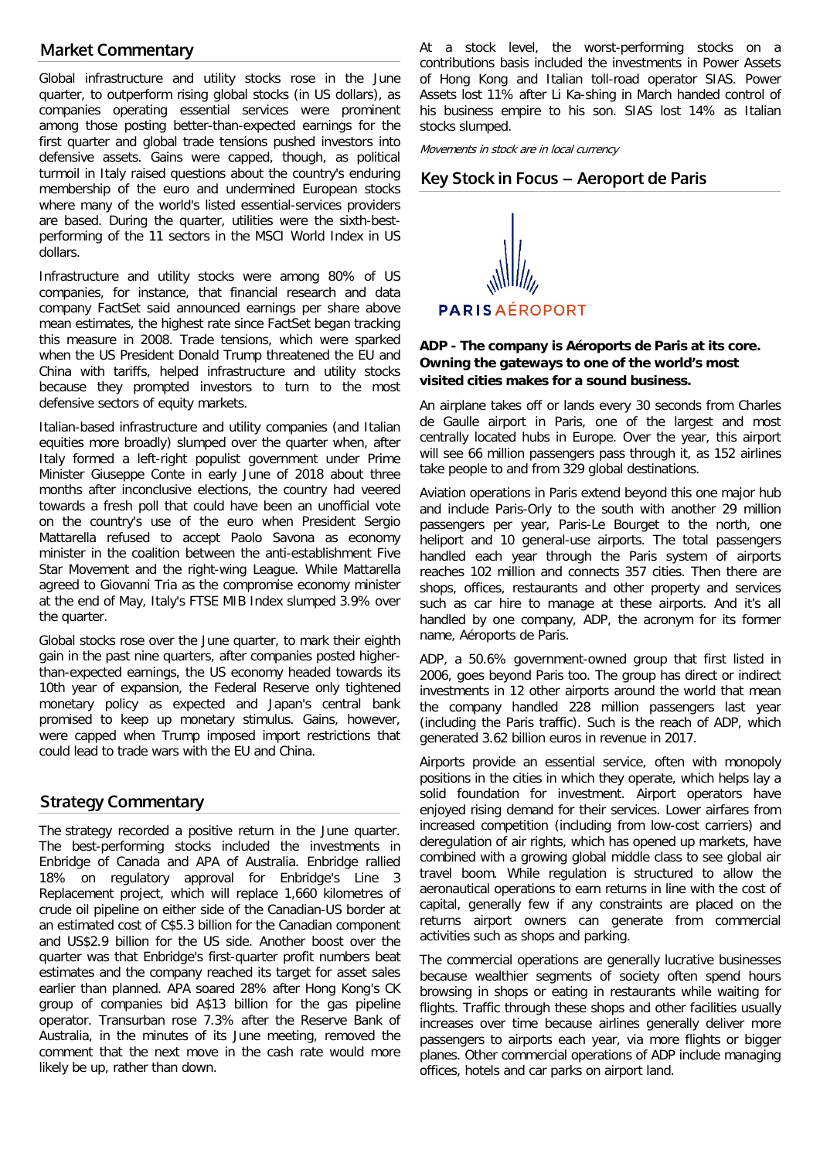# **Market Commentary**

Global infrastructure and utility stocks rose in the June quarter, to outperform rising global stocks (in US dollars), as companies operating essential services were prominent among those posting better-than-expected earnings for the first quarter and global trade tensions pushed investors into defensive assets. Gains were capped, though, as political turmoil in Italy raised questions about the country's enduring membership of the euro and undermined European stocks where many of the world's listed essential-services providers are based. During the quarter, utilities were the sixth-bestperforming of the 11 sectors in the MSCI World Index in US dollars.

Infrastructure and utility stocks were among 80% of US companies, for instance, that financial research and data company FactSet said announced earnings per share above mean estimates, the highest rate since FactSet began tracking this measure in 2008. Trade tensions, which were sparked when the US President Donald Trump threatened the EU and China with tariffs, helped infrastructure and utility stocks because they prompted investors to turn to the most defensive sectors of equity markets.

Italian-based infrastructure and utility companies (and Italian equities more broadly) slumped over the quarter when, after Italy formed a left-right populist government under Prime Minister Giuseppe Conte in early June of 2018 about three months after inconclusive elections, the country had veered towards a fresh poll that could have been an unofficial vote on the country's use of the euro when President Sergio Mattarella refused to accept Paolo Savona as economy minister in the coalition between the anti-establishment Five Star Movement and the right-wing League. While Mattarella agreed to Giovanni Tria as the compromise economy minister at the end of May, Italy's FTSE MIB Index slumped 3.9% over the quarter.

Global stocks rose over the June quarter, to mark their eighth gain in the past nine quarters, after companies posted higherthan-expected earnings, the US economy headed towards its 10th year of expansion, the Federal Reserve only tightened monetary policy as expected and Japan's central bank promised to keep up monetary stimulus. Gains, however, were capped when Trump imposed import restrictions that could lead to trade wars with the EU and China.

# **Strategy Commentary**

The strategy recorded a positive return in the June quarter. The best-performing stocks included the investments in Enbridge of Canada and APA of Australia. Enbridge rallied 18% on regulatory approval for Enbridge's Line 3 Replacement project, which will replace 1,660 kilometres of crude oil pipeline on either side of the Canadian-US border at an estimated cost of C\$5.3 billion for the Canadian component and US\$2.9 billion for the US side. Another boost over the quarter was that Enbridge's first-quarter profit numbers beat estimates and the company reached its target for asset sales earlier than planned. APA soared 28% after Hong Kong's CK group of companies bid A\$13 billion for the gas pipeline operator. Transurban rose 7.3% after the Reserve Bank of Australia, in the minutes of its June meeting, removed the comment that the next move in the cash rate would more likely be up, rather than down.

At a stock level, the worst-performing stocks on a contributions basis included the investments in Power Assets of Hong Kong and Italian toll-road operator SIAS. Power Assets lost 11% after Li Ka-shing in March handed control of his business empire to his son. SIAS lost 14% as Italian stocks slumped.

Movements in stock are in local currency

# **Key Stock in Focus – Aeroport de Paris**

**PARISAÉROPORT** 

# **ADP - The company is Aéroports de Paris at its core. Owning the gateways to one of the world's most visited cities makes for a sound business.**

An airplane takes off or lands every 30 seconds from Charles de Gaulle airport in Paris, one of the largest and most centrally located hubs in Europe. Over the year, this airport will see 66 million passengers pass through it, as 152 airlines take people to and from 329 global destinations.

Aviation operations in Paris extend beyond this one major hub and include Paris-Orly to the south with another 29 million passengers per year, Paris-Le Bourget to the north, one heliport and 10 general-use airports. The total passengers handled each year through the Paris system of airports reaches 102 million and connects 357 cities. Then there are shops, offices, restaurants and other property and services such as car hire to manage at these airports. And it's all handled by one company, ADP, the acronym for its former name, Aéroports de Paris.

ADP, a 50.6% government-owned group that first listed in 2006, goes beyond Paris too. The group has direct or indirect investments in 12 other airports around the world that mean the company handled 228 million passengers last year (including the Paris traffic). Such is the reach of ADP, which generated 3.62 billion euros in revenue in 2017.

Airports provide an essential service, often with monopoly positions in the cities in which they operate, which helps lay a solid foundation for investment. Airport operators have enjoyed rising demand for their services. Lower airfares from increased competition (including from low-cost carriers) and deregulation of air rights, which has opened up markets, have combined with a growing global middle class to see global air travel boom. While regulation is structured to allow the aeronautical operations to earn returns in line with the cost of capital, generally few if any constraints are placed on the returns airport owners can generate from commercial activities such as shops and parking.

The commercial operations are generally lucrative businesses because wealthier segments of society often spend hours browsing in shops or eating in restaurants while waiting for flights. Traffic through these shops and other facilities usually increases over time because airlines generally deliver more passengers to airports each year, via more flights or bigger planes. Other commercial operations of ADP include managing offices, hotels and car parks on airport land.